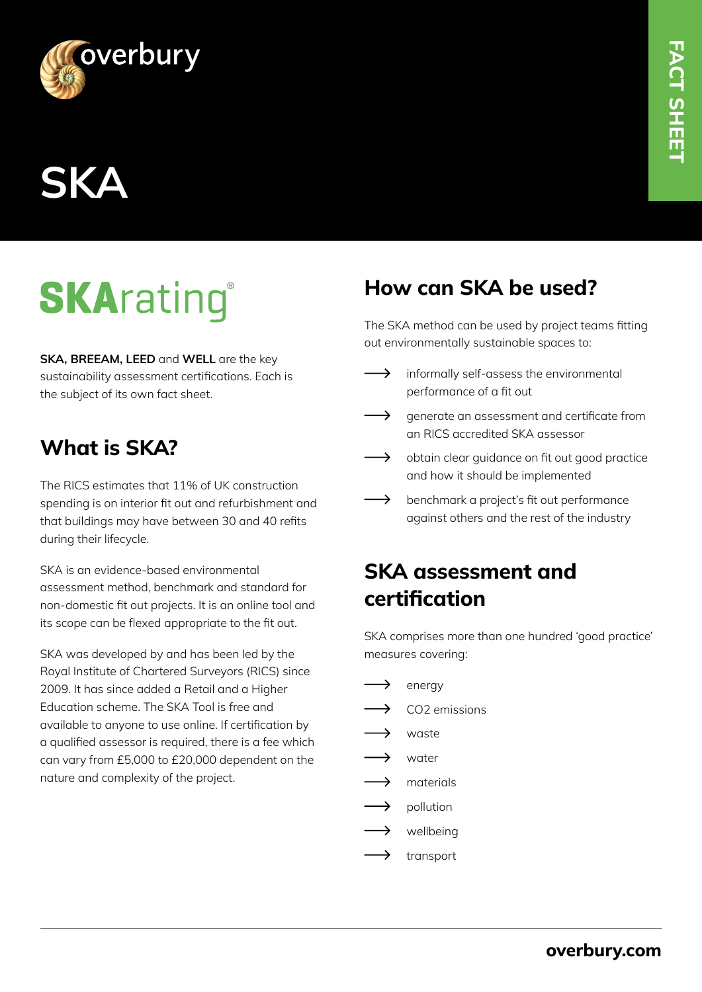



# **SKArating®**

**SKA, BREEAM, LEED** and **WELL** are the key sustainability assessment certifications. Each is the subject of its own fact sheet.

## **What is SKA?**

The RICS estimates that 11% of UK construction spending is on interior fit out and refurbishment and that buildings may have between 30 and 40 refits during their lifecycle.

SKA is an evidence-based environmental assessment method, benchmark and standard for non-domestic fit out projects. It is an online tool and its scope can be flexed appropriate to the fit out.

SKA was developed by and has been led by the Royal Institute of Chartered Surveyors (RICS) since 2009. It has since added a Retail and a Higher Education scheme. The SKA Tool is free and available to anyone to use online. If certification by a qualified assessor is required, there is a fee which can vary from £5,000 to £20,000 dependent on the nature and complexity of the project.

### **How can SKA be used?**

The SKA method can be used by project teams fitting out environmentally sustainable spaces to:

- $\rightarrow$ informally self-assess the environmental performance of a fit out
- $\longrightarrow$ generate an assessment and certificate from an RICS accredited SKA assessor
- $\longrightarrow$ obtain clear guidance on fit out good practice and how it should be implemented
- $\longrightarrow$ benchmark a project's fit out performance against others and the rest of the industry

## **SKA assessment and certification**

SKA comprises more than one hundred 'good practice' measures covering:

- $\longrightarrow$ energy
- $\overline{\phantom{0}}$ CO2 emissions
- $\longrightarrow$ waste
- $\longrightarrow$ water
- $\rightarrow$ materials
- pollution
- $\longrightarrow$ wellbeing
- $\longrightarrow$ transport